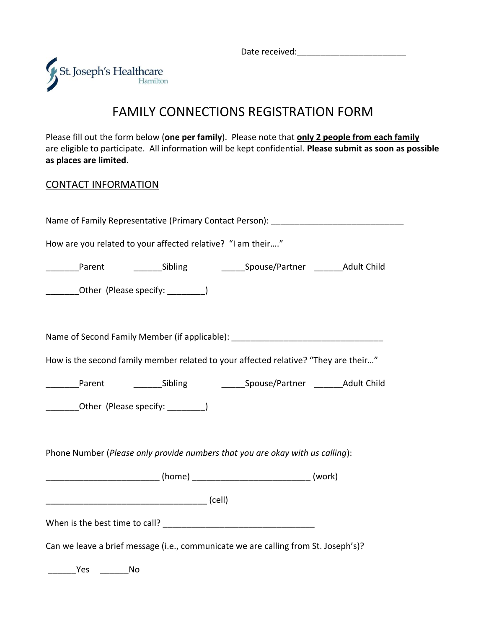Date received:



## FAMILY CONNECTIONS REGISTRATION FORM

Please fill out the form below (**one per family**). Please note that **only 2 people from each family** are eligible to participate. All information will be kept confidential. **Please submit as soon as possible as places are limited**.

## CONTACT INFORMATION

|                                                             |    |                                                                                     | Name of Family Representative (Primary Contact Person): ________________________ |
|-------------------------------------------------------------|----|-------------------------------------------------------------------------------------|----------------------------------------------------------------------------------|
| How are you related to your affected relative? "I am their" |    |                                                                                     |                                                                                  |
| Parent                                                      |    |                                                                                     |                                                                                  |
| __________Other (Please specify: __________)                |    |                                                                                     |                                                                                  |
|                                                             |    |                                                                                     |                                                                                  |
|                                                             |    | Name of Second Family Member (if applicable): __________________________________    |                                                                                  |
|                                                             |    | How is the second family member related to your affected relative? "They are their" |                                                                                  |
| Parent                                                      |    |                                                                                     | Sibling Spouse/Partner Adult Child                                               |
| _________Other (Please specify: _________)                  |    |                                                                                     |                                                                                  |
|                                                             |    |                                                                                     |                                                                                  |
|                                                             |    | Phone Number (Please only provide numbers that you are okay with us calling):       |                                                                                  |
|                                                             |    |                                                                                     |                                                                                  |
|                                                             |    |                                                                                     |                                                                                  |
|                                                             |    |                                                                                     |                                                                                  |
|                                                             |    | Can we leave a brief message (i.e., communicate we are calling from St. Joseph's)?  |                                                                                  |
| Yes                                                         | No |                                                                                     |                                                                                  |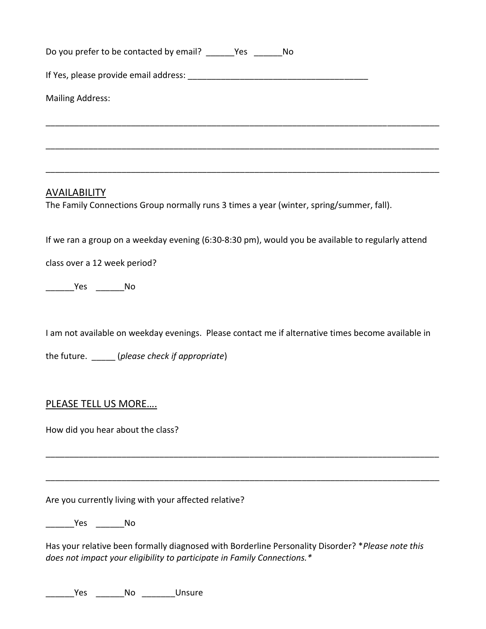| Do you prefer to be contacted by email? ________ Yes _________ No                                                                                                             |
|-------------------------------------------------------------------------------------------------------------------------------------------------------------------------------|
|                                                                                                                                                                               |
| <b>Mailing Address:</b>                                                                                                                                                       |
|                                                                                                                                                                               |
|                                                                                                                                                                               |
|                                                                                                                                                                               |
| <b>AVAILABILITY</b><br>The Family Connections Group normally runs 3 times a year (winter, spring/summer, fall).                                                               |
| If we ran a group on a weekday evening (6:30-8:30 pm), would you be available to regularly attend                                                                             |
| class over a 12 week period?                                                                                                                                                  |
| __________Yes __________No                                                                                                                                                    |
| I am not available on weekday evenings. Please contact me if alternative times become available in                                                                            |
| the future. ______ (please check if appropriate)                                                                                                                              |
| <b>PLEASE TELL US MORE</b>                                                                                                                                                    |
| How did you hear about the class?                                                                                                                                             |
|                                                                                                                                                                               |
| Are you currently living with your affected relative?                                                                                                                         |
| Yes No                                                                                                                                                                        |
| Has your relative been formally diagnosed with Borderline Personality Disorder? * Please note this<br>does not impact your eligibility to participate in Family Connections.* |

\_\_\_\_\_\_\_\_\_Yes \_\_\_\_\_\_\_\_No \_\_\_\_\_\_\_\_\_\_Unsure